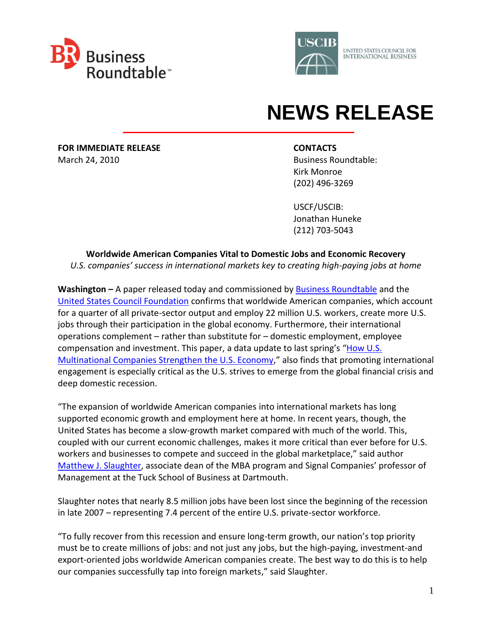



## **NEWS RELEASE**

**FOR IMMEDIATE RELEASE CONTACTS** March 24, 2010 **Business Roundtable: Business Roundtable:** 

 Kirk Monroe (202) 496-3269

 USCF/USCIB: Jonathan Huneke (212) 703-5043

## **Worldwide American Companies Vital to Domestic Jobs and Economic Recovery** *U.S. companies' success in international markets key to creating high-paying jobs at home*

**Washington –** A paper released today and commissioned by [Business Roundtable](http://www.businessroundtable.org/) and the United States [Council Foundation](http://uscouncilfoundation.org/) confirms that worldwide American companies, which account for a quarter of all private-sector output and employ 22 million U.S. workers, create more U.S. jobs through their participation in the global economy. Furthermore, their international operations complement – rather than substitute for – domestic employment, employee compensation and investment. This paper, a data update to last spring's "How U.S. [Multinational Companies Strengthen the U.S. Economy](http://www.businessroundtable.org/sites/default/files/Slaughter%20Paper-Color.pdf)," also finds that promoting international engagement is especially critical as the U.S. strives to emerge from the global financial crisis and deep domestic recession.

"The expansion of worldwide American companies into international markets has long supported economic growth and employment here at home. In recent years, though, the United States has become a slow-growth market compared with much of the world. This, coupled with our current economic challenges, makes it more critical than ever before for U.S. workers and businesses to compete and succeed in the global marketplace," said author [Matthew J. Slaughter,](http://www.tuck.dartmouth.edu/exec/about/slaughter.html) associate dean of the MBA program and Signal Companies' professor of Management at the Tuck School of Business at Dartmouth.

Slaughter notes that nearly 8.5 million jobs have been lost since the beginning of the recession in late 2007 – representing 7.4 percent of the entire U.S. private-sector workforce.

"To fully recover from this recession and ensure long-term growth, our nation's top priority must be to create millions of jobs: and not just any jobs, but the high-paying, investment-and export-oriented jobs worldwide American companies create. The best way to do this is to help our companies successfully tap into foreign markets," said Slaughter.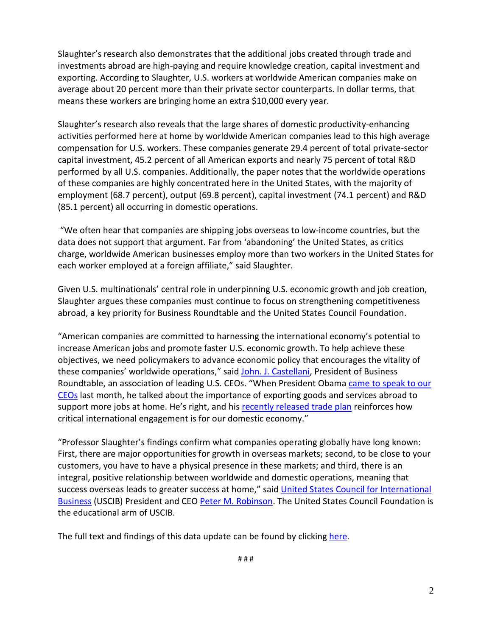Slaughter's research also demonstrates that the additional jobs created through trade and investments abroad are high-paying and require knowledge creation, capital investment and exporting. According to Slaughter, U.S. workers at worldwide American companies make on average about 20 percent more than their private sector counterparts. In dollar terms, that means these workers are bringing home an extra \$10,000 every year.

Slaughter's research also reveals that the large shares of domestic productivity-enhancing activities performed here at home by worldwide American companies lead to this high average compensation for U.S. workers. These companies generate 29.4 percent of total private-sector capital investment, 45.2 percent of all American exports and nearly 75 percent of total R&D performed by all U.S. companies. Additionally, the paper notes that the worldwide operations of these companies are highly concentrated here in the United States, with the majority of employment (68.7 percent), output (69.8 percent), capital investment (74.1 percent) and R&D (85.1 percent) all occurring in domestic operations.

"We often hear that companies are shipping jobs overseas to low-income countries, but the data does not support that argument. Far from 'abandoning' the United States, as critics charge, worldwide American businesses employ more than two workers in the United States for each worker employed at a foreign affiliate," said Slaughter.

Given U.S. multinationals' central role in underpinning U.S. economic growth and job creation, Slaughter argues these companies must continue to focus on strengthening competitiveness abroad, a key priority for Business Roundtable and the United States Council Foundation.

"American companies are committed to harnessing the international economy's potential to increase American jobs and promote faster U.S. economic growth. To help achieve these objectives, we need policymakers to advance economic policy that encourages the vitality of these companies' worldwide operations," said [John. J. Castellani,](http://www.businessroundtable.org/member_details?id=159&width=640&height=480&TB_iframe=true) President of Business Roundtable, an association of leading U.S. CEOs. "When President Obama came to speak to our [CEOs](http://www.youtube.com/watch?v=qcDyN2juFUY) last month, he talked about the importance of exporting goods and services abroad to support more jobs at home. He's right, and his [recently released trade plan](http://www.ustr.gov/2010-trade-policy-agenda) reinforces how critical international engagement is for our domestic economy."

"Professor Slaughter's findings confirm what companies operating globally have long known: First, there are major opportunities for growth in overseas markets; second, to be close to your customers, you have to have a physical presence in these markets; and third, there is an integral, positive relationship between worldwide and domestic operations, meaning that success overseas leads to greater success at home," said United States Council for International [Business](http://uscib.org/) (USCIB) President and CEO [Peter M. Robinson.](http://www.uscib.org/index.asp?documentID=1928) The United States Council Foundation is the educational arm of USCIB.

The full text and findings of this data update can be found by clicking [here.](http://www.businessroundtable.org/sites/default/files/BRT%20USCIB%20White%20Paper%20Revised%20Synopsis%203%2023%2010_FORMATTED_FINAL%20v2.pdf)